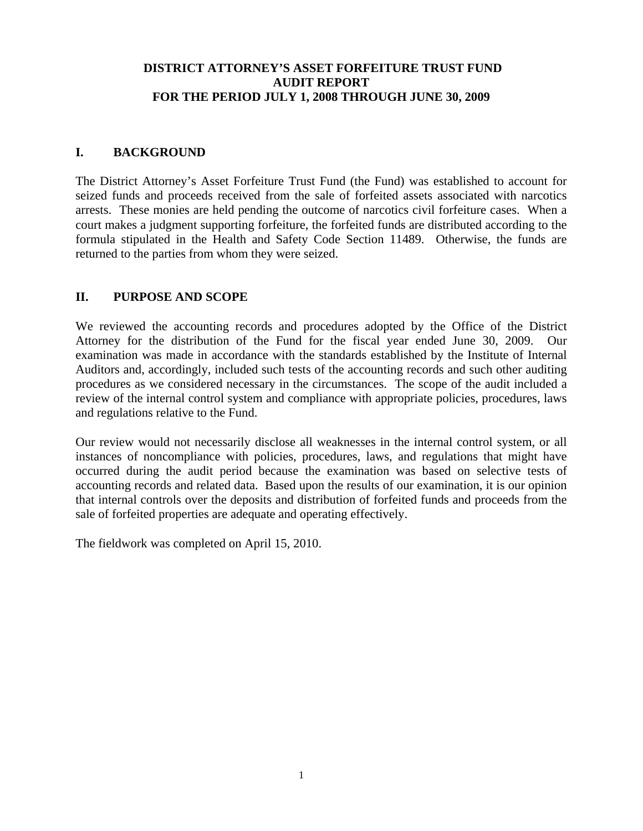# **DISTRICT ATTORNEY'S ASSET FORFEITURE TRUST FUND AUDIT REPORT FOR THE PERIOD JULY 1, 2008 THROUGH JUNE 30, 2009**

# **I. BACKGROUND**

The District Attorney's Asset Forfeiture Trust Fund (the Fund) was established to account for seized funds and proceeds received from the sale of forfeited assets associated with narcotics arrests. These monies are held pending the outcome of narcotics civil forfeiture cases. When a court makes a judgment supporting forfeiture, the forfeited funds are distributed according to the formula stipulated in the Health and Safety Code Section 11489. Otherwise, the funds are returned to the parties from whom they were seized.

# **II. PURPOSE AND SCOPE**

We reviewed the accounting records and procedures adopted by the Office of the District Attorney for the distribution of the Fund for the fiscal year ended June 30, 2009. Our examination was made in accordance with the standards established by the Institute of Internal Auditors and, accordingly, included such tests of the accounting records and such other auditing procedures as we considered necessary in the circumstances. The scope of the audit included a review of the internal control system and compliance with appropriate policies, procedures, laws and regulations relative to the Fund.

Our review would not necessarily disclose all weaknesses in the internal control system, or all instances of noncompliance with policies, procedures, laws, and regulations that might have occurred during the audit period because the examination was based on selective tests of accounting records and related data. Based upon the results of our examination, it is our opinion that internal controls over the deposits and distribution of forfeited funds and proceeds from the sale of forfeited properties are adequate and operating effectively.

The fieldwork was completed on April 15, 2010.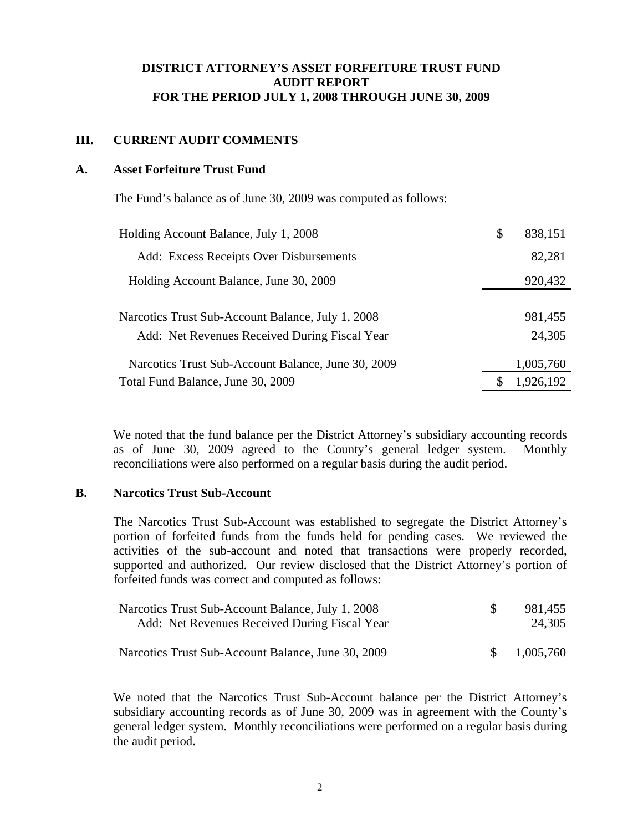## **DISTRICT ATTORNEY'S ASSET FORFEITURE TRUST FUND AUDIT REPORT FOR THE PERIOD JULY 1, 2008 THROUGH JUNE 30, 2009**

## **III. CURRENT AUDIT COMMENTS**

#### **A. Asset Forfeiture Trust Fund**

The Fund's balance as of June 30, 2009 was computed as follows:

| Holding Account Balance, July 1, 2008              | $\mathbb{S}$ | 838,151   |
|----------------------------------------------------|--------------|-----------|
| Add: Excess Receipts Over Disbursements            |              | 82,281    |
| Holding Account Balance, June 30, 2009             |              | 920,432   |
|                                                    |              |           |
| Narcotics Trust Sub-Account Balance, July 1, 2008  |              | 981,455   |
| Add: Net Revenues Received During Fiscal Year      |              | 24,305    |
| Narcotics Trust Sub-Account Balance, June 30, 2009 |              | 1,005,760 |
| Total Fund Balance, June 30, 2009                  |              | 1,926,192 |

We noted that the fund balance per the District Attorney's subsidiary accounting records as of June 30, 2009 agreed to the County's general ledger system. Monthly reconciliations were also performed on a regular basis during the audit period.

#### **B. Narcotics Trust Sub-Account**

The Narcotics Trust Sub-Account was established to segregate the District Attorney's portion of forfeited funds from the funds held for pending cases. We reviewed the activities of the sub-account and noted that transactions were properly recorded, supported and authorized. Our review disclosed that the District Attorney's portion of forfeited funds was correct and computed as follows:

| Narcotics Trust Sub-Account Balance, July 1, 2008  | 981,455   |
|----------------------------------------------------|-----------|
| Add: Net Revenues Received During Fiscal Year      | 24,305    |
|                                                    |           |
| Narcotics Trust Sub-Account Balance, June 30, 2009 | 1,005,760 |

We noted that the Narcotics Trust Sub-Account balance per the District Attorney's subsidiary accounting records as of June 30, 2009 was in agreement with the County's general ledger system. Monthly reconciliations were performed on a regular basis during the audit period.